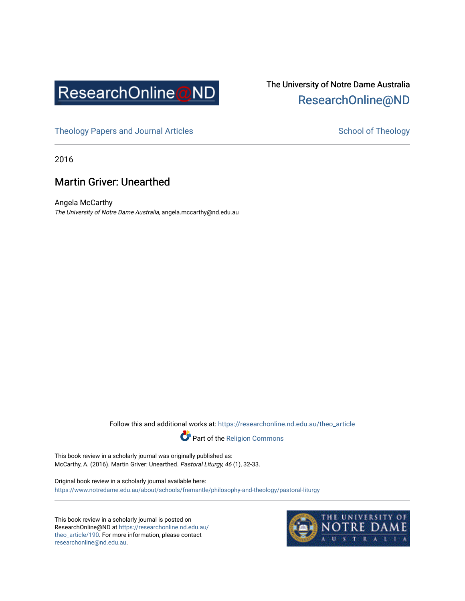

## The University of Notre Dame Australia [ResearchOnline@ND](https://researchonline.nd.edu.au/)

[Theology Papers and Journal Articles](https://researchonline.nd.edu.au/theo_article) and [School of Theology](https://researchonline.nd.edu.au/theo) School of Theology

2016

## Martin Griver: Unearthed

Angela McCarthy The University of Notre Dame Australia, angela.mccarthy@nd.edu.au

Follow this and additional works at: [https://researchonline.nd.edu.au/theo\\_article](https://researchonline.nd.edu.au/theo_article?utm_source=researchonline.nd.edu.au%2Ftheo_article%2F190&utm_medium=PDF&utm_campaign=PDFCoverPages) 



This book review in a scholarly journal was originally published as: McCarthy, A. (2016). Martin Griver: Unearthed. Pastoral Liturgy, 46 (1), 32-33.

Original book review in a scholarly journal available here: <https://www.notredame.edu.au/about/schools/fremantle/philosophy-and-theology/pastoral-liturgy>

This book review in a scholarly journal is posted on ResearchOnline@ND at [https://researchonline.nd.edu.au/](https://researchonline.nd.edu.au/theo_article/190) [theo\\_article/190](https://researchonline.nd.edu.au/theo_article/190). For more information, please contact [researchonline@nd.edu.au.](mailto:researchonline@nd.edu.au)

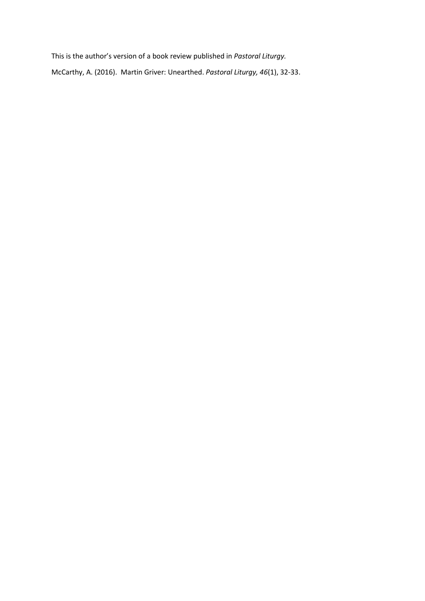This is the author's version of a book review published in *Pastoral Liturgy.* McCarthy, A. (2016). Martin Griver: Unearthed. *Pastoral Liturgy, 46*(1), 32-33.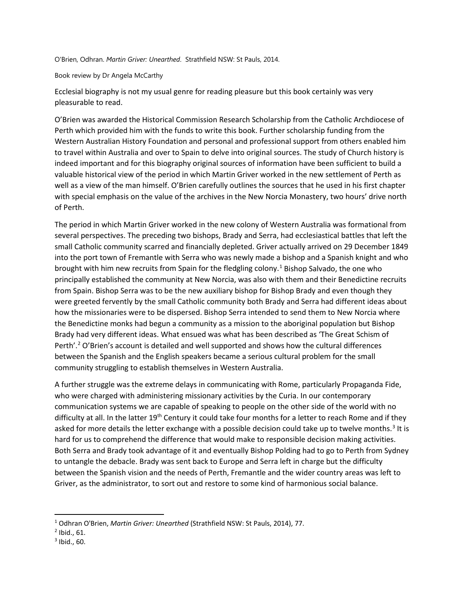O'Brien, Odhran. *Martin Griver: Unearthed*. Strathfield NSW: St Pauls, 2014.

## Book review by Dr Angela McCarthy

Ecclesial biography is not my usual genre for reading pleasure but this book certainly was very pleasurable to read.

O'Brien was awarded the Historical Commission Research Scholarship from the Catholic Archdiocese of Perth which provided him with the funds to write this book. Further scholarship funding from the Western Australian History Foundation and personal and professional support from others enabled him to travel within Australia and over to Spain to delve into original sources. The study of Church history is indeed important and for this biography original sources of information have been sufficient to build a valuable historical view of the period in which Martin Griver worked in the new settlement of Perth as well as a view of the man himself. O'Brien carefully outlines the sources that he used in his first chapter with special emphasis on the value of the archives in the New Norcia Monastery, two hours' drive north of Perth.

The period in which Martin Griver worked in the new colony of Western Australia was formational from several perspectives. The preceding two bishops, Brady and Serra, had ecclesiastical battles that left the small Catholic community scarred and financially depleted. Griver actually arrived on 29 December 1849 into the port town of Fremantle with Serra who was newly made a bishop and a Spanish knight and who brought with him new recruits from Spain for the fledgling colony. [1](#page-2-0) Bishop Salvado, the one who principally established the community at New Norcia, was also with them and their Benedictine recruits from Spain. Bishop Serra was to be the new auxiliary bishop for Bishop Brady and even though they were greeted fervently by the small Catholic community both Brady and Serra had different ideas about how the missionaries were to be dispersed. Bishop Serra intended to send them to New Norcia where the Benedictine monks had begun a community as a mission to the aboriginal population but Bishop Brady had very different ideas. What ensued was what has been described as 'The Great Schism of Perth'.<sup>2</sup> O'Brien's account is detailed and well supported and shows how the cultural differences between the Spanish and the English speakers became a serious cultural problem for the small community struggling to establish themselves in Western Australia.

A further struggle was the extreme delays in communicating with Rome, particularly Propaganda Fide, who were charged with administering missionary activities by the Curia. In our contemporary communication systems we are capable of speaking to people on the other side of the world with no difficulty at all. In the latter 19<sup>th</sup> Century it could take four months for a letter to reach Rome and if they asked for more details the letter exchange with a possible decision could take up to twelve months.<sup>[3](#page-2-2)</sup> It is hard for us to comprehend the difference that would make to responsible decision making activities. Both Serra and Brady took advantage of it and eventually Bishop Polding had to go to Perth from Sydney to untangle the debacle. Brady was sent back to Europe and Serra left in charge but the difficulty between the Spanish vision and the needs of Perth, Fremantle and the wider country areas was left to Griver, as the administrator, to sort out and restore to some kind of harmonious social balance.

l

<span id="page-2-0"></span><sup>1</sup> Odhran O'Brien, *Martin Griver: Unearthed* (Strathfield NSW: St Pauls, 2014), 77.

<span id="page-2-1"></span><sup>2</sup> Ibid., 61.

<span id="page-2-2"></span> $3$  Ibid., 60.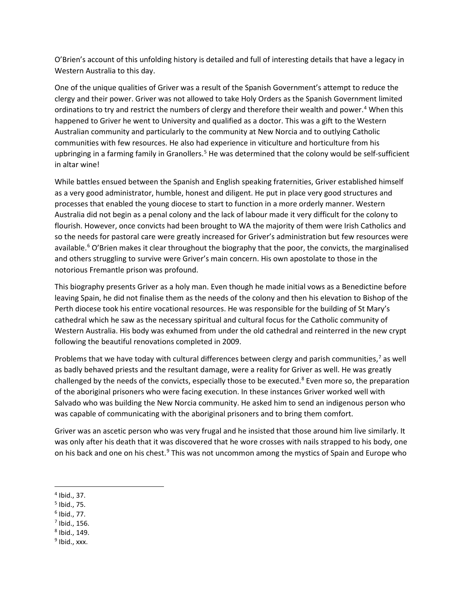O'Brien's account of this unfolding history is detailed and full of interesting details that have a legacy in Western Australia to this day.

One of the unique qualities of Griver was a result of the Spanish Government's attempt to reduce the clergy and their power. Griver was not allowed to take Holy Orders as the Spanish Government limited ordinations to try and restrict the numbers of clergy and therefore their wealth and power.<sup>[4](#page-3-0)</sup> When this happened to Griver he went to University and qualified as a doctor. This was a gift to the Western Australian community and particularly to the community at New Norcia and to outlying Catholic communities with few resources. He also had experience in viticulture and horticulture from his upbringing in a farming family in Granollers.<sup>[5](#page-3-1)</sup> He was determined that the colony would be self-sufficient in altar wine!

While battles ensued between the Spanish and English speaking fraternities, Griver established himself as a very good administrator, humble, honest and diligent. He put in place very good structures and processes that enabled the young diocese to start to function in a more orderly manner. Western Australia did not begin as a penal colony and the lack of labour made it very difficult for the colony to flourish. However, once convicts had been brought to WA the majority of them were Irish Catholics and so the needs for pastoral care were greatly increased for Griver's administration but few resources were available.<sup>[6](#page-3-2)</sup> O'Brien makes it clear throughout the biography that the poor, the convicts, the marginalised and others struggling to survive were Griver's main concern. His own apostolate to those in the notorious Fremantle prison was profound.

This biography presents Griver as a holy man. Even though he made initial vows as a Benedictine before leaving Spain, he did not finalise them as the needs of the colony and then his elevation to Bishop of the Perth diocese took his entire vocational resources. He was responsible for the building of St Mary's cathedral which he saw as the necessary spiritual and cultural focus for the Catholic community of Western Australia. His body was exhumed from under the old cathedral and reinterred in the new crypt following the beautiful renovations completed in 2009.

Problems that we have today with cultural differences between clergy and parish communities,<sup>[7](#page-3-3)</sup> as well as badly behaved priests and the resultant damage, were a reality for Griver as well. He was greatly challenged by the needs of the convicts, especially those to be executed.<sup>[8](#page-3-4)</sup> Even more so, the preparation of the aboriginal prisoners who were facing execution. In these instances Griver worked well with Salvado who was building the New Norcia community. He asked him to send an indigenous person who was capable of communicating with the aboriginal prisoners and to bring them comfort.

Griver was an ascetic person who was very frugal and he insisted that those around him live similarly. It was only after his death that it was discovered that he wore crosses with nails strapped to his body, one on his back and one on his chest.<sup>[9](#page-3-5)</sup> This was not uncommon among the mystics of Spain and Europe who

 $\overline{\phantom{a}}$ 

- <span id="page-3-1"></span><sup>5</sup> Ibid., 75.
- <span id="page-3-2"></span> $6$  Ibid., 77.
- <span id="page-3-3"></span> $<sup>7</sup>$  Ibid., 156.</sup>
- <span id="page-3-4"></span><sup>8</sup> Ibid., 149.
- <span id="page-3-5"></span> $9$  Ibid., xxx.

<span id="page-3-0"></span><sup>4</sup> Ibid., 37.